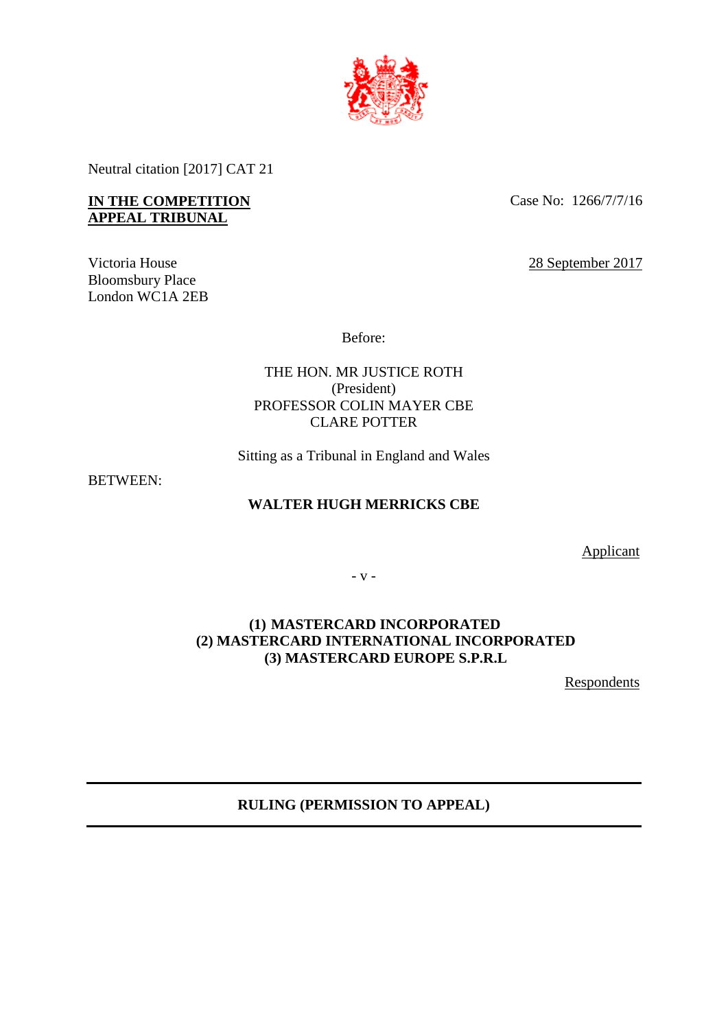

Neutral citation [2017] CAT 21

## **IN THE COMPETITION APPEAL TRIBUNAL**

Victoria House Bloomsbury Place London WC1A 2EB Case No: 1266/7/7/16

28 September 2017

Before:

THE HON. MR JUSTICE ROTH (President) PROFESSOR COLIN MAYER CBE CLARE POTTER

Sitting as a Tribunal in England and Wales

BETWEEN:

## **WALTER HUGH MERRICKS CBE**

Applicant

- v -

# **(1) MASTERCARD INCORPORATED (2) MASTERCARD INTERNATIONAL INCORPORATED (3) MASTERCARD EUROPE S.P.R.L**

**Respondents** 

## **RULING (PERMISSION TO APPEAL)**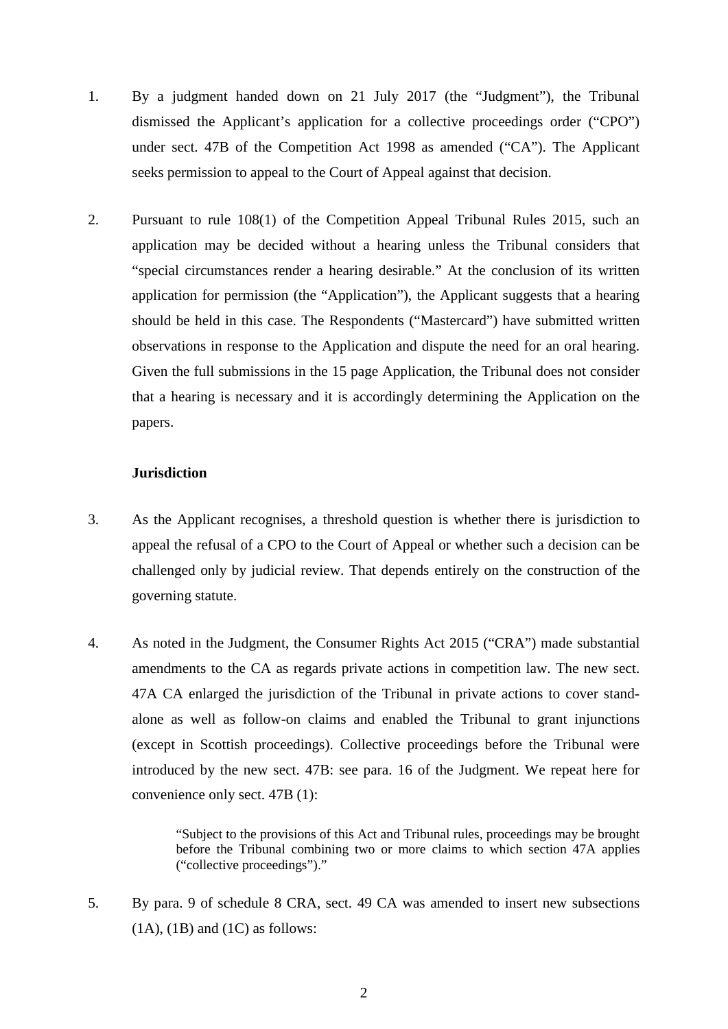- 1. By a judgment handed down on 21 July 2017 (the "Judgment"), the Tribunal dismissed the Applicant's application for a collective proceedings order ("CPO") under sect. 47B of the Competition Act 1998 as amended ("CA"). The Applicant seeks permission to appeal to the Court of Appeal against that decision.
- 2. Pursuant to rule 108(1) of the Competition Appeal Tribunal Rules 2015, such an application may be decided without a hearing unless the Tribunal considers that "special circumstances render a hearing desirable." At the conclusion of its written application for permission (the "Application"), the Applicant suggests that a hearing should be held in this case. The Respondents ("Mastercard") have submitted written observations in response to the Application and dispute the need for an oral hearing. Given the full submissions in the 15 page Application, the Tribunal does not consider that a hearing is necessary and it is accordingly determining the Application on the papers.

#### **Jurisdiction**

- 3. As the Applicant recognises, a threshold question is whether there is jurisdiction to appeal the refusal of a CPO to the Court of Appeal or whether such a decision can be challenged only by judicial review. That depends entirely on the construction of the governing statute.
- 4. As noted in the Judgment, the Consumer Rights Act 2015 ("CRA") made substantial amendments to the CA as regards private actions in competition law. The new sect. 47A CA enlarged the jurisdiction of the Tribunal in private actions to cover standalone as well as follow-on claims and enabled the Tribunal to grant injunctions (except in Scottish proceedings). Collective proceedings before the Tribunal were introduced by the new sect. 47B: see para. 16 of the Judgment. We repeat here for convenience only sect. 47B (1):

"Subject to the provisions of this Act and Tribunal rules, proceedings may be brought before the Tribunal combining two or more claims to which section 47A applies ("collective proceedings")."

5. By para. 9 of schedule 8 CRA, sect. 49 CA was amended to insert new subsections  $(1A)$ ,  $(1B)$  and  $(1C)$  as follows: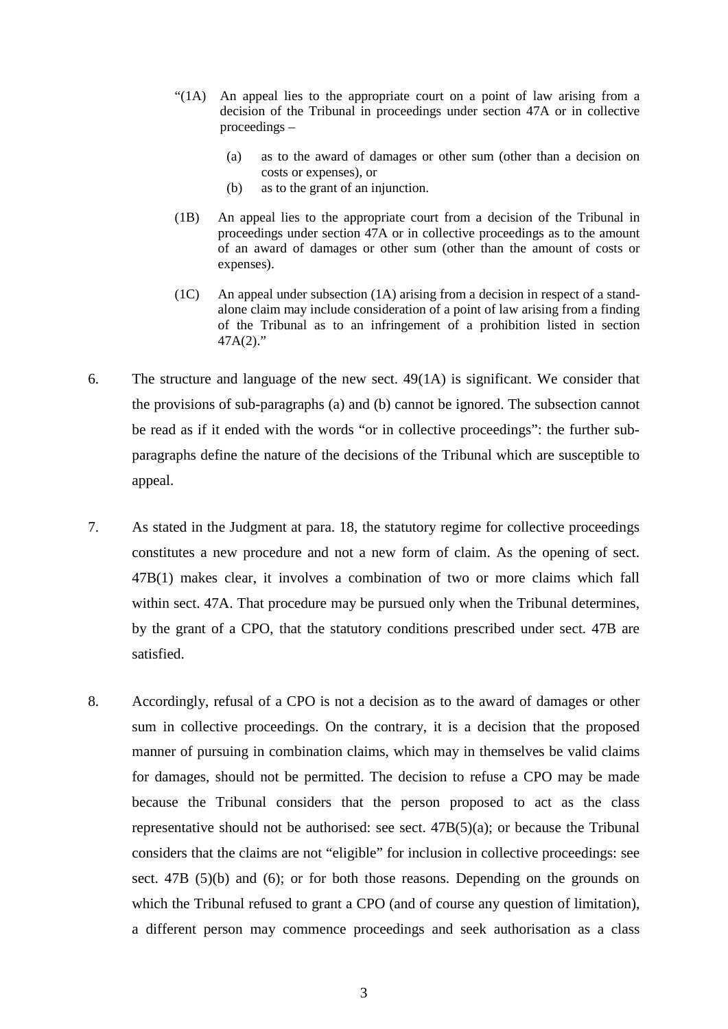- "(1A) An appeal lies to the appropriate court on a point of law arising from a decision of the Tribunal in proceedings under section 47A or in collective proceedings –
	- (a) as to the award of damages or other sum (other than a decision on costs or expenses), or
	- (b) as to the grant of an injunction.
- (1B) An appeal lies to the appropriate court from a decision of the Tribunal in proceedings under section 47A or in collective proceedings as to the amount of an award of damages or other sum (other than the amount of costs or expenses).
- $(1C)$  An appeal under subsection  $(1A)$  arising from a decision in respect of a standalone claim may include consideration of a point of law arising from a finding of the Tribunal as to an infringement of a prohibition listed in section 47A(2)."
- 6. The structure and language of the new sect. 49(1A) is significant. We consider that the provisions of sub-paragraphs (a) and (b) cannot be ignored. The subsection cannot be read as if it ended with the words "or in collective proceedings": the further subparagraphs define the nature of the decisions of the Tribunal which are susceptible to appeal.
- 7. As stated in the Judgment at para. 18, the statutory regime for collective proceedings constitutes a new procedure and not a new form of claim. As the opening of sect. 47B(1) makes clear, it involves a combination of two or more claims which fall within sect. 47A. That procedure may be pursued only when the Tribunal determines, by the grant of a CPO, that the statutory conditions prescribed under sect. 47B are satisfied.
- 8. Accordingly, refusal of a CPO is not a decision as to the award of damages or other sum in collective proceedings. On the contrary, it is a decision that the proposed manner of pursuing in combination claims, which may in themselves be valid claims for damages, should not be permitted. The decision to refuse a CPO may be made because the Tribunal considers that the person proposed to act as the class representative should not be authorised: see sect.  $47B(5)(a)$ ; or because the Tribunal considers that the claims are not "eligible" for inclusion in collective proceedings: see sect. 47B (5)(b) and (6); or for both those reasons. Depending on the grounds on which the Tribunal refused to grant a CPO (and of course any question of limitation), a different person may commence proceedings and seek authorisation as a class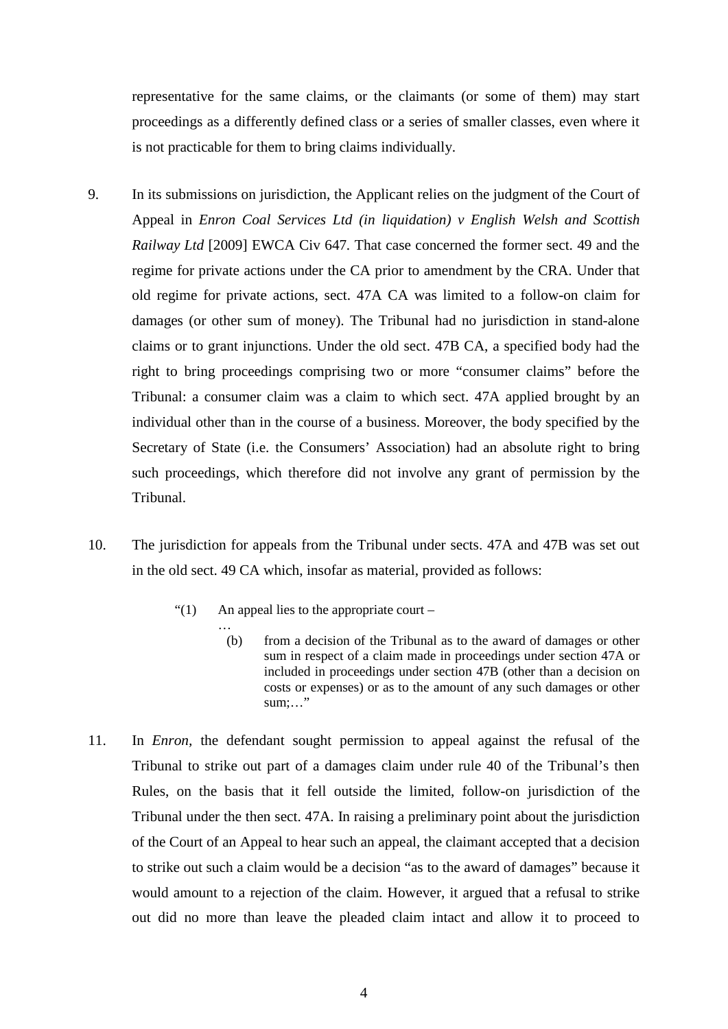representative for the same claims, or the claimants (or some of them) may start proceedings as a differently defined class or a series of smaller classes, even where it is not practicable for them to bring claims individually.

- 9. In its submissions on jurisdiction, the Applicant relies on the judgment of the Court of Appeal in *Enron Coal Services Ltd (in liquidation) v English Welsh and Scottish Railway Ltd* [2009] EWCA Civ 647*.* That case concerned the former sect. 49 and the regime for private actions under the CA prior to amendment by the CRA. Under that old regime for private actions, sect. 47A CA was limited to a follow-on claim for damages (or other sum of money). The Tribunal had no jurisdiction in stand-alone claims or to grant injunctions. Under the old sect. 47B CA, a specified body had the right to bring proceedings comprising two or more "consumer claims" before the Tribunal: a consumer claim was a claim to which sect. 47A applied brought by an individual other than in the course of a business. Moreover, the body specified by the Secretary of State (i.e. the Consumers' Association) had an absolute right to bring such proceedings, which therefore did not involve any grant of permission by the Tribunal.
- 10. The jurisdiction for appeals from the Tribunal under sects. 47A and 47B was set out in the old sect. 49 CA which, insofar as material, provided as follows:
	- "(1) An appeal lies to the appropriate court
		- … (b) from a decision of the Tribunal as to the award of damages or other sum in respect of a claim made in proceedings under section 47A or included in proceedings under section 47B (other than a decision on costs or expenses) or as to the amount of any such damages or other sum;..."
- 11. In *Enron,* the defendant sought permission to appeal against the refusal of the Tribunal to strike out part of a damages claim under rule 40 of the Tribunal's then Rules, on the basis that it fell outside the limited, follow-on jurisdiction of the Tribunal under the then sect. 47A. In raising a preliminary point about the jurisdiction of the Court of an Appeal to hear such an appeal, the claimant accepted that a decision to strike out such a claim would be a decision "as to the award of damages" because it would amount to a rejection of the claim. However, it argued that a refusal to strike out did no more than leave the pleaded claim intact and allow it to proceed to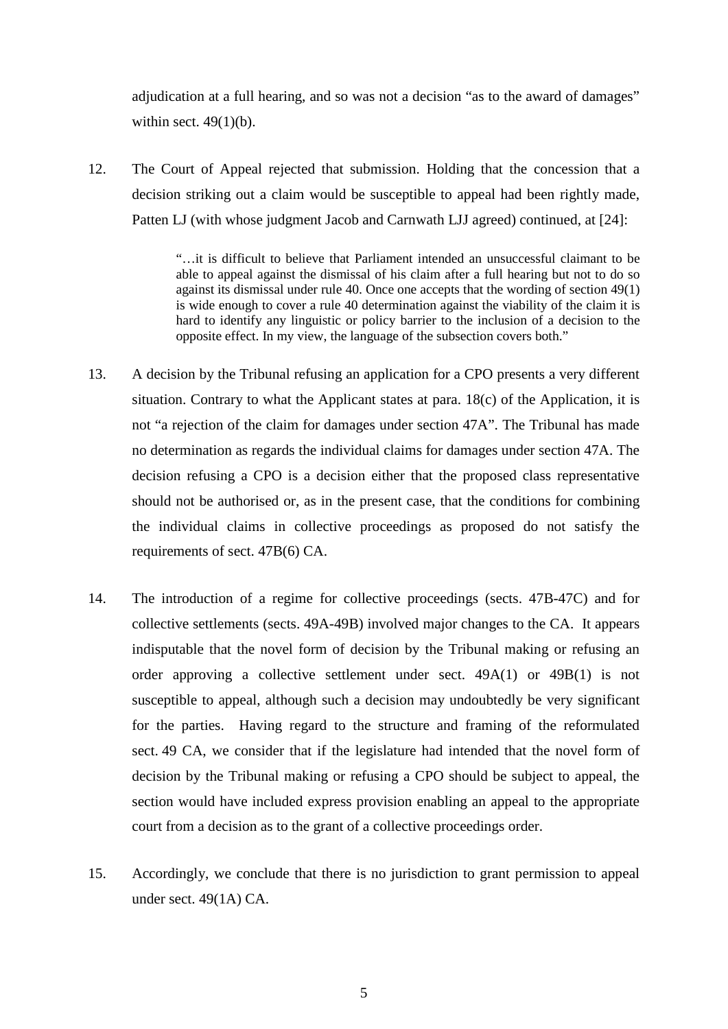adjudication at a full hearing, and so was not a decision "as to the award of damages" within sect.  $49(1)(b)$ .

12. The Court of Appeal rejected that submission. Holding that the concession that a decision striking out a claim would be susceptible to appeal had been rightly made, Patten LJ (with whose judgment Jacob and Carnwath LJJ agreed) continued, at [24]:

> "…it is difficult to believe that Parliament intended an unsuccessful claimant to be able to appeal against the dismissal of his claim after a full hearing but not to do so against its dismissal under rule 40. Once one accepts that the wording of section 49(1) is wide enough to cover a rule 40 determination against the viability of the claim it is hard to identify any linguistic or policy barrier to the inclusion of a decision to the opposite effect. In my view, the language of the subsection covers both."

- 13. A decision by the Tribunal refusing an application for a CPO presents a very different situation. Contrary to what the Applicant states at para. 18(c) of the Application, it is not "a rejection of the claim for damages under section 47A". The Tribunal has made no determination as regards the individual claims for damages under section 47A. The decision refusing a CPO is a decision either that the proposed class representative should not be authorised or, as in the present case, that the conditions for combining the individual claims in collective proceedings as proposed do not satisfy the requirements of sect. 47B(6) CA.
- 14. The introduction of a regime for collective proceedings (sects. 47B-47C) and for collective settlements (sects. 49A-49B) involved major changes to the CA. It appears indisputable that the novel form of decision by the Tribunal making or refusing an order approving a collective settlement under sect.  $49A(1)$  or  $49B(1)$  is not susceptible to appeal, although such a decision may undoubtedly be very significant for the parties. Having regard to the structure and framing of the reformulated sect. 49 CA, we consider that if the legislature had intended that the novel form of decision by the Tribunal making or refusing a CPO should be subject to appeal, the section would have included express provision enabling an appeal to the appropriate court from a decision as to the grant of a collective proceedings order.
- 15. Accordingly, we conclude that there is no jurisdiction to grant permission to appeal under sect. 49(1A) CA.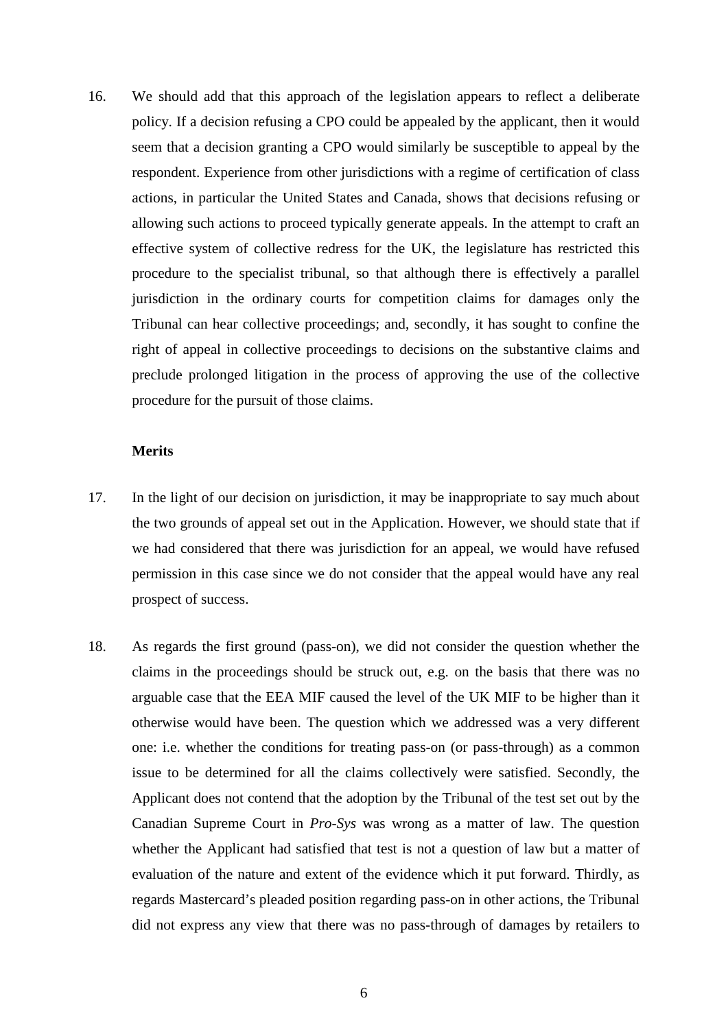16. We should add that this approach of the legislation appears to reflect a deliberate policy. If a decision refusing a CPO could be appealed by the applicant, then it would seem that a decision granting a CPO would similarly be susceptible to appeal by the respondent. Experience from other jurisdictions with a regime of certification of class actions, in particular the United States and Canada, shows that decisions refusing or allowing such actions to proceed typically generate appeals. In the attempt to craft an effective system of collective redress for the UK, the legislature has restricted this procedure to the specialist tribunal, so that although there is effectively a parallel jurisdiction in the ordinary courts for competition claims for damages only the Tribunal can hear collective proceedings; and, secondly, it has sought to confine the right of appeal in collective proceedings to decisions on the substantive claims and preclude prolonged litigation in the process of approving the use of the collective procedure for the pursuit of those claims.

#### **Merits**

- 17. In the light of our decision on jurisdiction, it may be inappropriate to say much about the two grounds of appeal set out in the Application. However, we should state that if we had considered that there was jurisdiction for an appeal, we would have refused permission in this case since we do not consider that the appeal would have any real prospect of success.
- 18. As regards the first ground (pass-on), we did not consider the question whether the claims in the proceedings should be struck out, e.g. on the basis that there was no arguable case that the EEA MIF caused the level of the UK MIF to be higher than it otherwise would have been. The question which we addressed was a very different one: i.e. whether the conditions for treating pass-on (or pass-through) as a common issue to be determined for all the claims collectively were satisfied. Secondly, the Applicant does not contend that the adoption by the Tribunal of the test set out by the Canadian Supreme Court in *Pro-Sys* was wrong as a matter of law. The question whether the Applicant had satisfied that test is not a question of law but a matter of evaluation of the nature and extent of the evidence which it put forward. Thirdly, as regards Mastercard's pleaded position regarding pass-on in other actions, the Tribunal did not express any view that there was no pass-through of damages by retailers to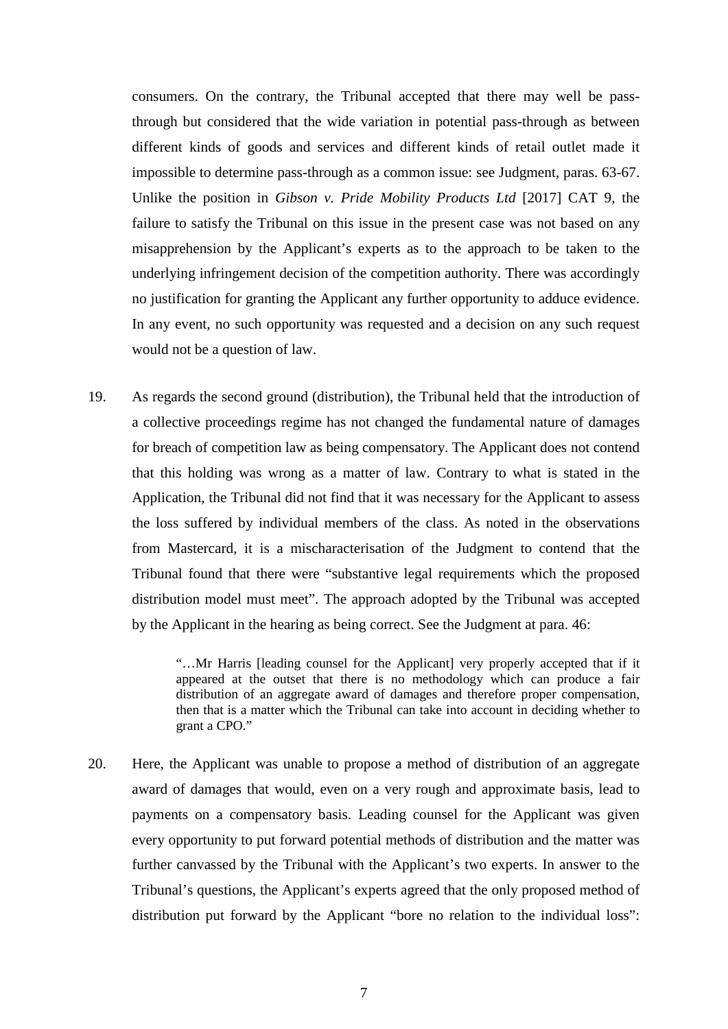consumers. On the contrary, the Tribunal accepted that there may well be passthrough but considered that the wide variation in potential pass-through as between different kinds of goods and services and different kinds of retail outlet made it impossible to determine pass-through as a common issue: see Judgment, paras. 63-67. Unlike the position in *Gibson v. Pride Mobility Products Ltd* [2017] CAT 9, the failure to satisfy the Tribunal on this issue in the present case was not based on any misapprehension by the Applicant's experts as to the approach to be taken to the underlying infringement decision of the competition authority. There was accordingly no justification for granting the Applicant any further opportunity to adduce evidence. In any event, no such opportunity was requested and a decision on any such request would not be a question of law.

19. As regards the second ground (distribution), the Tribunal held that the introduction of a collective proceedings regime has not changed the fundamental nature of damages for breach of competition law as being compensatory. The Applicant does not contend that this holding was wrong as a matter of law. Contrary to what is stated in the Application, the Tribunal did not find that it was necessary for the Applicant to assess the loss suffered by individual members of the class. As noted in the observations from Mastercard, it is a mischaracterisation of the Judgment to contend that the Tribunal found that there were "substantive legal requirements which the proposed distribution model must meet". The approach adopted by the Tribunal was accepted by the Applicant in the hearing as being correct. See the Judgment at para. 46:

> "…Mr Harris [leading counsel for the Applicant] very properly accepted that if it appeared at the outset that there is no methodology which can produce a fair distribution of an aggregate award of damages and therefore proper compensation, then that is a matter which the Tribunal can take into account in deciding whether to grant a CPO."

20. Here, the Applicant was unable to propose a method of distribution of an aggregate award of damages that would, even on a very rough and approximate basis, lead to payments on a compensatory basis. Leading counsel for the Applicant was given every opportunity to put forward potential methods of distribution and the matter was further canvassed by the Tribunal with the Applicant's two experts. In answer to the Tribunal's questions, the Applicant's experts agreed that the only proposed method of distribution put forward by the Applicant "bore no relation to the individual loss":